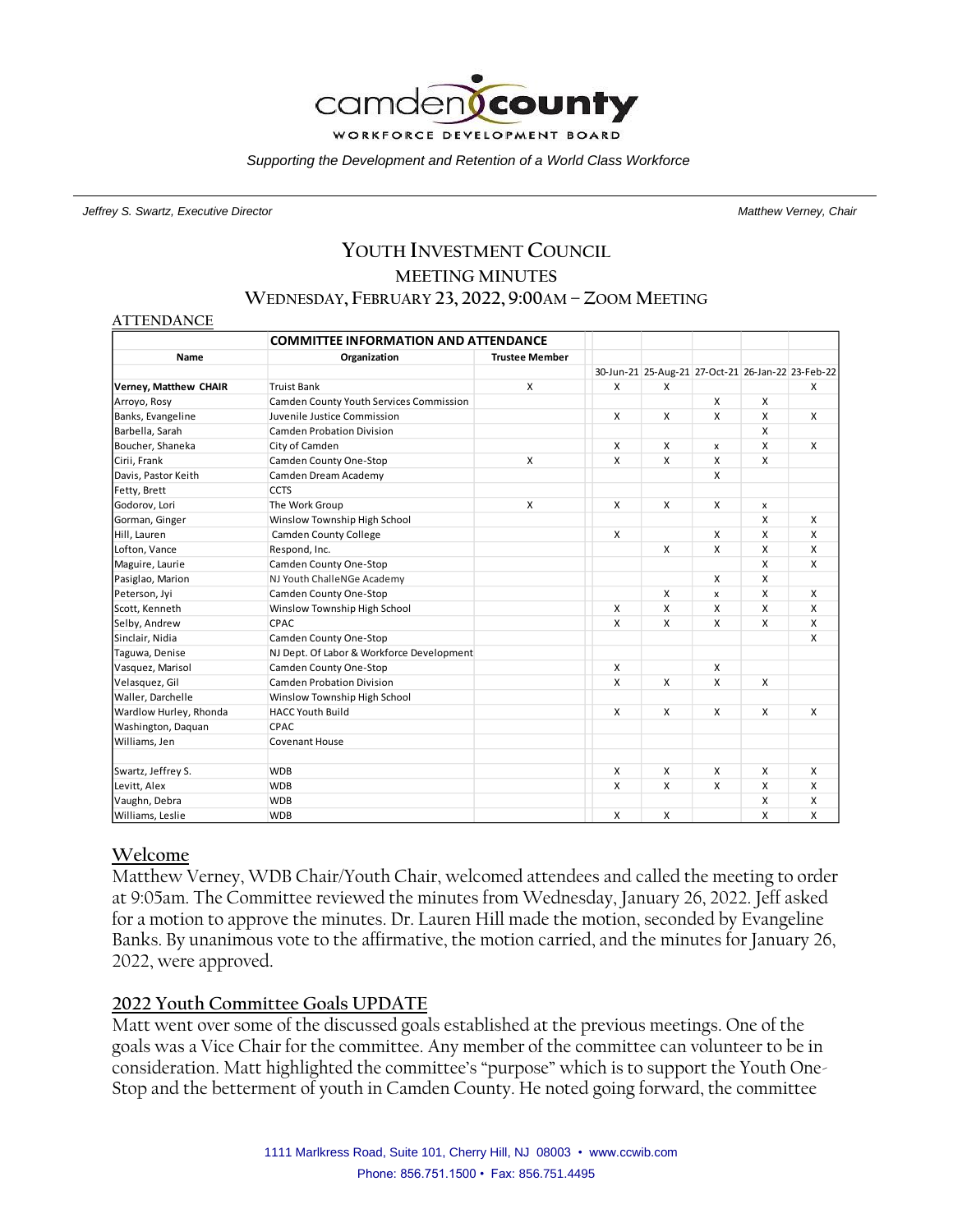

*Supporting the Development and Retention of a World Class Workforce*

*Jeffrey S. Swartz, Executive Director Matthew Verney, Chair*

# **YOUTH INVESTMENT COUNCIL MEETING MINUTES WEDNESDAY, FEBRUARY 23, 2022, 9:00AM – ZOOM MEETING**

#### **ATTENDANCE**

|                        | <b>COMMITTEE INFORMATION AND ATTENDANCE</b> |                       |   |   |   |                    |                                                   |
|------------------------|---------------------------------------------|-----------------------|---|---|---|--------------------|---------------------------------------------------|
| Name                   | Organization                                | <b>Trustee Member</b> |   |   |   |                    |                                                   |
|                        |                                             |                       |   |   |   |                    | 30-Jun-21 25-Aug-21 27-Oct-21 26-Jan-22 23-Feb-22 |
| Verney, Matthew CHAIR  | <b>Truist Bank</b>                          | X                     | X | X |   |                    | X                                                 |
| Arroyo, Rosy           | Camden County Youth Services Commission     |                       |   |   | X | X                  |                                                   |
| Banks, Evangeline      | Juvenile Justice Commission                 |                       | X | X | X | X                  | X                                                 |
| Barbella, Sarah        | Camden Probation Division                   |                       |   |   |   | X                  |                                                   |
| Boucher, Shaneka       | City of Camden                              |                       | X | X | x | $\mathsf{x}$       | X                                                 |
| Cirii, Frank           | Camden County One-Stop                      | X                     | X | X | x | X                  |                                                   |
| Davis, Pastor Keith    | Camden Dream Academy                        |                       |   |   | X |                    |                                                   |
| Fetty, Brett           | <b>CCTS</b>                                 |                       |   |   |   |                    |                                                   |
| Godorov, Lori          | The Work Group                              | X                     | X | X | X | $\pmb{\mathsf{x}}$ |                                                   |
| Gorman, Ginger         | Winslow Township High School                |                       |   |   |   | X                  | X                                                 |
| Hill, Lauren           | <b>Camden County College</b>                |                       | X |   | X | X                  | X                                                 |
| Lofton, Vance          | Respond, Inc.                               |                       |   | X | X | X                  | X                                                 |
| Maguire, Laurie        | Camden County One-Stop                      |                       |   |   |   | X                  | $\mathsf{x}$                                      |
| Pasiglao, Marion       | NJ Youth ChalleNGe Academy                  |                       |   |   | X | X                  |                                                   |
| Peterson, Jyi          | Camden County One-Stop                      |                       |   | X | x | X                  | X                                                 |
| Scott, Kenneth         | Winslow Township High School                |                       | X | X | X | X                  | X                                                 |
| Selby, Andrew          | CPAC                                        |                       | X | X | X | X                  | X                                                 |
| Sinclair, Nidia        | Camden County One-Stop                      |                       |   |   |   |                    | X                                                 |
| Taguwa, Denise         | NJ Dept. Of Labor & Workforce Development   |                       |   |   |   |                    |                                                   |
| Vasquez, Marisol       | Camden County One-Stop                      |                       | X |   | X |                    |                                                   |
| Velasquez, Gil         | <b>Camden Probation Division</b>            |                       | X | X | X | X                  |                                                   |
| Waller, Darchelle      | Winslow Township High School                |                       |   |   |   |                    |                                                   |
| Wardlow Hurley, Rhonda | <b>HACC Youth Build</b>                     |                       | X | X | X | X                  | X                                                 |
| Washington, Daquan     | CPAC                                        |                       |   |   |   |                    |                                                   |
| Williams, Jen          | <b>Covenant House</b>                       |                       |   |   |   |                    |                                                   |
|                        |                                             |                       |   |   |   |                    |                                                   |
| Swartz, Jeffrey S.     | <b>WDB</b>                                  |                       | X | X | X | X                  | X                                                 |
| Levitt, Alex           | <b>WDB</b>                                  |                       | X | X | x | X                  | X                                                 |
| Vaughn, Debra          | <b>WDB</b>                                  |                       |   |   |   | X                  | X                                                 |
| Williams, Leslie       | <b>WDB</b>                                  |                       | X | X |   | X                  | X                                                 |

#### **Welcome**

Matthew Verney, WDB Chair/Youth Chair, welcomed attendees and called the meeting to order at 9:05am. The Committee reviewed the minutes from Wednesday, January 26, 2022. Jeff asked for a motion to approve the minutes. Dr. Lauren Hill made the motion, seconded by Evangeline Banks. By unanimous vote to the affirmative, the motion carried, and the minutes for January 26, 2022, were approved.

#### **2022 Youth Committee Goals UPDATE**

Matt went over some of the discussed goals established at the previous meetings. One of the goals was a Vice Chair for the committee. Any member of the committee can volunteer to be in consideration. Matt highlighted the committee's "purpose" which is to support the Youth One-Stop and the betterment of youth in Camden County. He noted going forward, the committee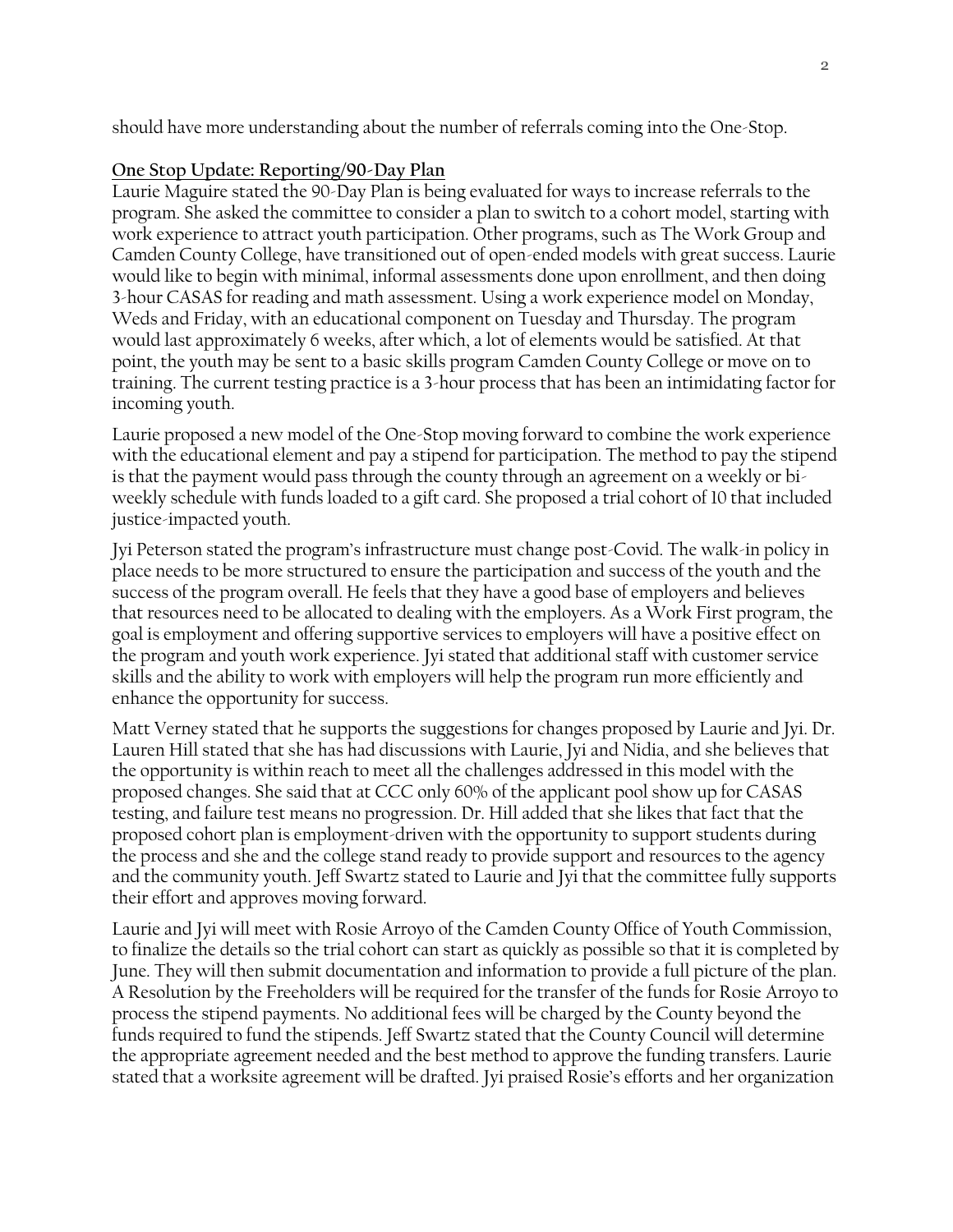should have more understanding about the number of referrals coming into the One-Stop.

#### **One Stop Update: Reporting/90-Day Plan**

Laurie Maguire stated the 90-Day Plan is being evaluated for ways to increase referrals to the program. She asked the committee to consider a plan to switch to a cohort model, starting with work experience to attract youth participation. Other programs, such as The Work Group and Camden County College, have transitioned out of open-ended models with great success. Laurie would like to begin with minimal, informal assessments done upon enrollment, and then doing 3-hour CASAS for reading and math assessment. Using a work experience model on Monday, Weds and Friday, with an educational component on Tuesday and Thursday. The program would last approximately 6 weeks, after which, a lot of elements would be satisfied. At that point, the youth may be sent to a basic skills program Camden County College or move on to training. The current testing practice is a 3-hour process that has been an intimidating factor for incoming youth.

Laurie proposed a new model of the One-Stop moving forward to combine the work experience with the educational element and pay a stipend for participation. The method to pay the stipend is that the payment would pass through the county through an agreement on a weekly or biweekly schedule with funds loaded to a gift card. She proposed a trial cohort of 10 that included justice-impacted youth.

Jyi Peterson stated the program's infrastructure must change post-Covid. The walk-in policy in place needs to be more structured to ensure the participation and success of the youth and the success of the program overall. He feels that they have a good base of employers and believes that resources need to be allocated to dealing with the employers. As a Work First program, the goal is employment and offering supportive services to employers will have a positive effect on the program and youth work experience. Jyi stated that additional staff with customer service skills and the ability to work with employers will help the program run more efficiently and enhance the opportunity for success.

Matt Verney stated that he supports the suggestions for changes proposed by Laurie and Jyi. Dr. Lauren Hill stated that she has had discussions with Laurie, Jyi and Nidia, and she believes that the opportunity is within reach to meet all the challenges addressed in this model with the proposed changes. She said that at CCC only 60% of the applicant pool show up for CASAS testing, and failure test means no progression. Dr. Hill added that she likes that fact that the proposed cohort plan is employment-driven with the opportunity to support students during the process and she and the college stand ready to provide support and resources to the agency and the community youth. Jeff Swartz stated to Laurie and Jyi that the committee fully supports their effort and approves moving forward.

Laurie and Jyi will meet with Rosie Arroyo of the Camden County Office of Youth Commission, to finalize the details so the trial cohort can start as quickly as possible so that it is completed by June. They will then submit documentation and information to provide a full picture of the plan. A Resolution by the Freeholders will be required for the transfer of the funds for Rosie Arroyo to process the stipend payments. No additional fees will be charged by the County beyond the funds required to fund the stipends. Jeff Swartz stated that the County Council will determine the appropriate agreement needed and the best method to approve the funding transfers. Laurie stated that a worksite agreement will be drafted. Jyi praised Rosie's efforts and her organization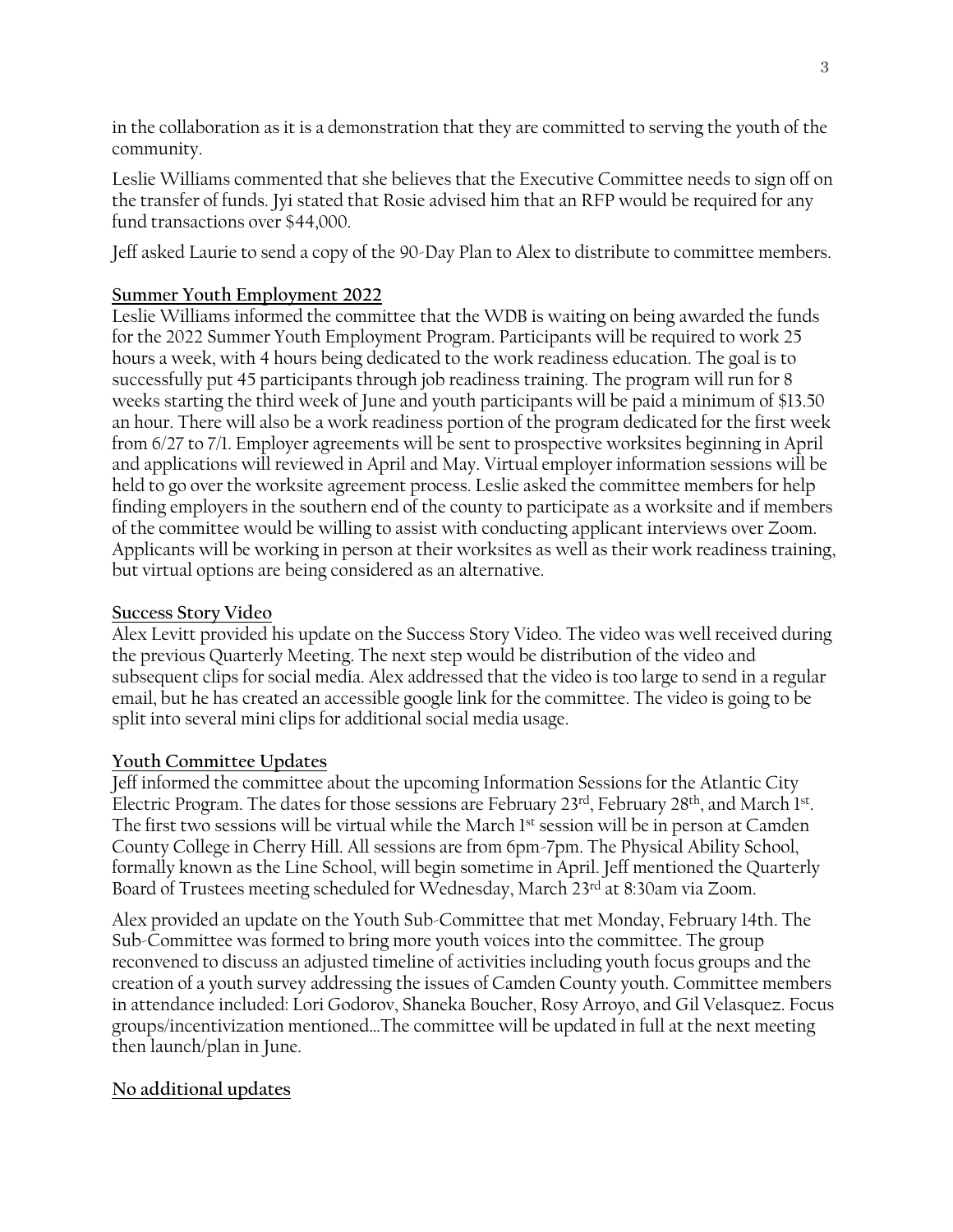in the collaboration as it is a demonstration that they are committed to serving the youth of the community.

Leslie Williams commented that she believes that the Executive Committee needs to sign off on the transfer of funds. Jyi stated that Rosie advised him that an RFP would be required for any fund transactions over \$44,000.

Jeff asked Laurie to send a copy of the 90-Day Plan to Alex to distribute to committee members.

# **Summer Youth Employment 2022**

Leslie Williams informed the committee that the WDB is waiting on being awarded the funds for the 2022 Summer Youth Employment Program. Participants will be required to work 25 hours a week, with 4 hours being dedicated to the work readiness education. The goal is to successfully put 45 participants through job readiness training. The program will run for 8 weeks starting the third week of June and youth participants will be paid a minimum of \$13.50 an hour. There will also be a work readiness portion of the program dedicated for the first week from 6/27 to 7/1. Employer agreements will be sent to prospective worksites beginning in April and applications will reviewed in April and May. Virtual employer information sessions will be held to go over the worksite agreement process. Leslie asked the committee members for help finding employers in the southern end of the county to participate as a worksite and if members of the committee would be willing to assist with conducting applicant interviews over Zoom. Applicants will be working in person at their worksites as well as their work readiness training, but virtual options are being considered as an alternative.

#### **Success Story Video**

Alex Levitt provided his update on the Success Story Video. The video was well received during the previous Quarterly Meeting. The next step would be distribution of the video and subsequent clips for social media. Alex addressed that the video is too large to send in a regular email, but he has created an accessible google link for the committee. The video is going to be split into several mini clips for additional social media usage.

# **Youth Committee Updates**

Jeff informed the committee about the upcoming Information Sessions for the Atlantic City Electric Program. The dates for those sessions are February 23rd, February 28<sup>th</sup>, and March 1st. The first two sessions will be virtual while the March 1st session will be in person at Camden County College in Cherry Hill. All sessions are from 6pm-7pm. The Physical Ability School, formally known as the Line School, will begin sometime in April. Jeff mentioned the Quarterly Board of Trustees meeting scheduled for Wednesday, March 23rd at 8:30am via Zoom.

Alex provided an update on the Youth Sub-Committee that met Monday, February 14th. The Sub-Committee was formed to bring more youth voices into the committee. The group reconvened to discuss an adjusted timeline of activities including youth focus groups and the creation of a youth survey addressing the issues of Camden County youth. Committee members in attendance included: Lori Godorov, Shaneka Boucher, Rosy Arroyo, and Gil Velasquez. Focus groups/incentivization mentioned…The committee will be updated in full at the next meeting then launch/plan in June.

# **No additional updates**